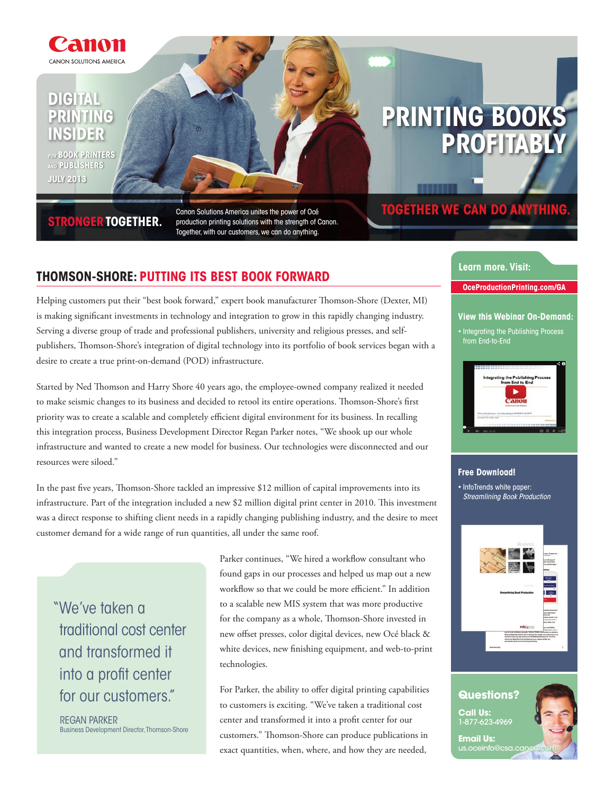

# **digital printing insider**

**for book Printers and publishers July 2013**

# **stronger together.**

Canon Solutions America unites the power of Océ production printing solutions with the strength of Canon. Together, with our customers, we can do anything.

# **Printing Books Profitably**

# **together we can do anything.**

# **Thomson-Shore: Putting Its Best Book Forward**

Helping customers put their "best book forward," expert book manufacturer Thomson-Shore (Dexter, MI) is making significant investments in technology and integration to grow in this rapidly changing industry. Serving a diverse group of trade and professional publishers, university and religious presses, and selfpublishers, Thomson-Shore's integration of digital technology into its portfolio of book services began with a desire to create a true print-on-demand (POD) infrastructure.

Started by Ned Thomson and Harry Shore 40 years ago, the employee-owned company realized it needed to make seismic changes to its business and decided to retool its entire operations. Thomson-Shore's first priority was to create a scalable and completely efficient digital environment for its business. In recalling this integration process, Business Development Director Regan Parker notes, "We shook up our whole infrastructure and wanted to create a new model for business. Our technologies were disconnected and our resources were siloed."

In the past five years, Thomson-Shore tackled an impressive \$12 million of capital improvements into its infrastructure. Part of the integration included a new \$2 million digital print center in 2010. This investment was a direct response to shifting client needs in a rapidly changing publishing industry, and the desire to meet customer demand for a wide range of run quantities, all under the same roof.

"We've taken a traditional cost center and transformed it into a profit center for our customers."

Regan Parker Business Development Director, Thomson-Shore Parker continues, "We hired a workflow consultant who found gaps in our processes and helped us map out a new workflow so that we could be more efficient." In addition to a scalable new MIS system that was more productive for the company as a whole, Thomson-Shore invested in new offset presses, color digital devices, new Océ black & white devices, new finishing equipment, and web-to-print technologies.

For Parker, the ability to offer digital printing capabilities to customers is exciting. "We've taken a traditional cost center and transformed it into a profit center for our customers." Thomson-Shore can produce publications in exact quantities, when, where, and how they are needed,

#### **Learn more. Visit:**

**OceProductionPrinting.com/GA**

### **View this Webinar On-Demand:**

• Integrating the Publishing Process from End-to-End



#### **Free Download!**

• InfoTrends white paper: **Streamlining Book Production** 



# **Questions?**

**Call Us:** 1-877-623-4969

**Email Us:** us.oceinfo@cs